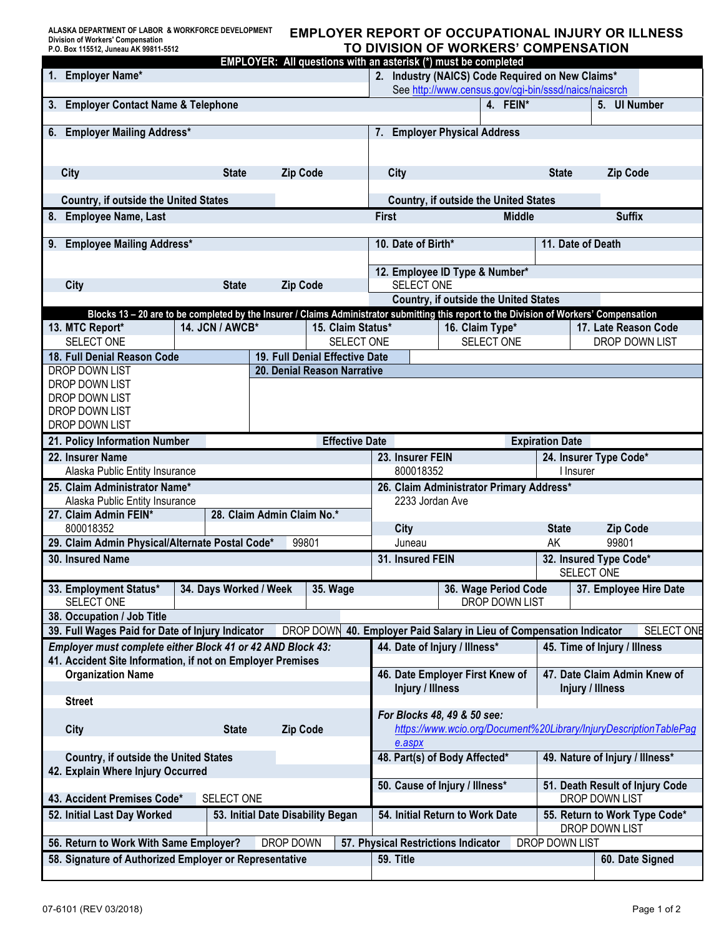## **EMPLOYER REPORT OF OCCUPATIONAL INJURY OR ILLNESS TO DIVISION OF WORKERS' COMPENSATION**

| EMPLOYER: All questions with an asterisk (*) must be completed                                                                            |                                                                             |                 |                                |                                              |                                                       |                              |  |                                 |
|-------------------------------------------------------------------------------------------------------------------------------------------|-----------------------------------------------------------------------------|-----------------|--------------------------------|----------------------------------------------|-------------------------------------------------------|------------------------------|--|---------------------------------|
| 2. Industry (NAICS) Code Required on New Claims*<br>1. Employer Name*                                                                     |                                                                             |                 |                                |                                              |                                                       |                              |  |                                 |
|                                                                                                                                           |                                                                             |                 |                                |                                              | See http://www.census.gov/cgi-bin/sssd/naics/naicsrch |                              |  |                                 |
| <b>Employer Contact Name &amp; Telephone</b><br>3.                                                                                        |                                                                             |                 | 4. FEIN*                       |                                              | 5. UI Number                                          |                              |  |                                 |
| <b>Employer Mailing Address*</b><br>6.                                                                                                    | 7. Employer Physical Address                                                |                 |                                |                                              |                                                       |                              |  |                                 |
|                                                                                                                                           |                                                                             |                 |                                |                                              |                                                       |                              |  |                                 |
| <b>City</b><br><b>State</b><br><b>Zip Code</b>                                                                                            |                                                                             |                 | City                           |                                              | <b>State</b>                                          | <b>Zip Code</b>              |  |                                 |
| Country, if outside the United States                                                                                                     | <b>Country, if outside the United States</b>                                |                 |                                |                                              |                                                       |                              |  |                                 |
| 8. Employee Name, Last                                                                                                                    | <b>First</b><br><b>Middle</b>                                               |                 | <b>Suffix</b>                  |                                              |                                                       |                              |  |                                 |
| <b>Employee Mailing Address*</b><br>9.                                                                                                    | 10. Date of Birth*                                                          |                 | 11. Date of Death              |                                              |                                                       |                              |  |                                 |
|                                                                                                                                           |                                                                             |                 |                                |                                              |                                                       |                              |  |                                 |
| <b>City</b><br><b>State</b><br><b>Zip Code</b>                                                                                            |                                                                             |                 |                                | 12. Employee ID Type & Number*<br>SELECT ONE |                                                       |                              |  |                                 |
|                                                                                                                                           | <b>Country, if outside the United States</b>                                |                 |                                |                                              |                                                       |                              |  |                                 |
| Blocks 13 - 20 are to be completed by the Insurer / Claims Administrator submitting this report to the Division of Workers' Compensation  |                                                                             |                 |                                |                                              |                                                       |                              |  |                                 |
| 13. MTC Report*                                                                                                                           | 14. JCN / AWCB*                                                             |                 | 15. Claim Status*              |                                              |                                                       | 16. Claim Type*              |  | 17. Late Reason Code            |
| SELECT ONE                                                                                                                                |                                                                             |                 | SELECT ONE                     |                                              |                                                       | SELECT ONE                   |  | DROP DOWN LIST                  |
| 18. Full Denial Reason Code                                                                                                               |                                                                             |                 | 19. Full Denial Effective Date |                                              |                                                       |                              |  |                                 |
| DROP DOWN LIST                                                                                                                            |                                                                             |                 | 20. Denial Reason Narrative    |                                              |                                                       |                              |  |                                 |
| DROP DOWN LIST                                                                                                                            |                                                                             |                 |                                |                                              |                                                       |                              |  |                                 |
| DROP DOWN LIST                                                                                                                            |                                                                             |                 |                                |                                              |                                                       |                              |  |                                 |
| DROP DOWN LIST                                                                                                                            |                                                                             |                 |                                |                                              |                                                       |                              |  |                                 |
| DROP DOWN LIST                                                                                                                            |                                                                             |                 |                                |                                              |                                                       |                              |  |                                 |
| 21. Policy Information Number                                                                                                             |                                                                             |                 | <b>Effective Date</b>          | <b>Expiration Date</b>                       |                                                       |                              |  |                                 |
| 22. Insurer Name                                                                                                                          |                                                                             |                 |                                | 23. Insurer FEIN<br>24. Insurer Type Code*   |                                                       |                              |  |                                 |
| Alaska Public Entity Insurance                                                                                                            |                                                                             |                 |                                | 800018352<br>I Insurer                       |                                                       |                              |  |                                 |
| 25. Claim Administrator Name*                                                                                                             | 26. Claim Administrator Primary Address*                                    |                 |                                |                                              |                                                       |                              |  |                                 |
| Alaska Public Entity Insurance<br>27. Claim Admin FEIN*                                                                                   | 2233 Jordan Ave                                                             |                 |                                |                                              |                                                       |                              |  |                                 |
| 800018352                                                                                                                                 | City<br><b>State</b><br><b>Zip Code</b>                                     |                 |                                |                                              |                                                       |                              |  |                                 |
| 29. Claim Admin Physical/Alternate Postal Code*                                                                                           | 99801<br>Juneau<br>AK                                                       |                 |                                |                                              |                                                       |                              |  |                                 |
| 30. Insured Name                                                                                                                          | 31. Insured FEIN<br>32. Insured Type Code*                                  |                 |                                |                                              |                                                       |                              |  |                                 |
|                                                                                                                                           |                                                                             |                 |                                |                                              |                                                       |                              |  | SELECT ONE                      |
| 33. Employment Status*<br>SELECT ONE                                                                                                      | 34. Days Worked / Week                                                      |                 | <b>35. Wage</b>                |                                              |                                                       | 36. Wage Period Code         |  | 37. Employee Hire Date          |
| 38. Occupation / Job Title                                                                                                                |                                                                             |                 |                                |                                              |                                                       | DROP DOWN LIST               |  |                                 |
| 39. Full Wages Paid for Date of Injury Indicator<br>DROP DOWN<br>40. Employer Paid Salary in Lieu of Compensation Indicator<br>SELECT ONE |                                                                             |                 |                                |                                              |                                                       |                              |  |                                 |
| Employer must complete either Block 41 or 42 AND Block 43:<br>44. Date of Injury / Illness*<br>45. Time of Injury / Illness               |                                                                             |                 |                                |                                              |                                                       |                              |  |                                 |
| 41. Accident Site Information, if not on Employer Premises                                                                                |                                                                             |                 |                                |                                              |                                                       |                              |  |                                 |
| <b>Organization Name</b>                                                                                                                  |                                                                             |                 |                                | 46. Date Employer First Knew of              |                                                       | 47. Date Claim Admin Knew of |  |                                 |
|                                                                                                                                           |                                                                             |                 |                                | Injury / Illness                             |                                                       |                              |  | Injury / Illness                |
| <b>Street</b>                                                                                                                             |                                                                             |                 |                                |                                              |                                                       |                              |  |                                 |
|                                                                                                                                           | <b>State</b>                                                                | <b>Zip Code</b> |                                | For Blocks 48, 49 & 50 see:                  |                                                       |                              |  |                                 |
| City                                                                                                                                      | https://www.wcio.org/Document%20Library/InjuryDescriptionTablePag<br>e.aspx |                 |                                |                                              |                                                       |                              |  |                                 |
| <b>Country, if outside the United States</b>                                                                                              | 49. Nature of Injury / Illness*<br>48. Part(s) of Body Affected*            |                 |                                |                                              |                                                       |                              |  |                                 |
| 42. Explain Where Injury Occurred                                                                                                         |                                                                             |                 |                                |                                              |                                                       |                              |  |                                 |
|                                                                                                                                           |                                                                             |                 |                                | 50. Cause of Injury / Illness*               |                                                       |                              |  | 51. Death Result of Injury Code |
| 43. Accident Premises Code*                                                                                                               | DROP DOWN LIST                                                              |                 |                                |                                              |                                                       |                              |  |                                 |
| 52. Initial Last Day Worked                                                                                                               | 54. Initial Return to Work Date                                             |                 |                                |                                              | 55. Return to Work Type Code*<br>DROP DOWN LIST       |                              |  |                                 |
| 56. Return to Work With Same Employer?<br>DROP DOWN<br>57. Physical Restrictions Indicator<br>DROP DOWN LIST                              |                                                                             |                 |                                |                                              |                                                       |                              |  |                                 |
| 58. Signature of Authorized Employer or Representative                                                                                    | 59. Title                                                                   |                 |                                |                                              | 60. Date Signed                                       |                              |  |                                 |
|                                                                                                                                           |                                                                             |                 |                                |                                              |                                                       |                              |  |                                 |